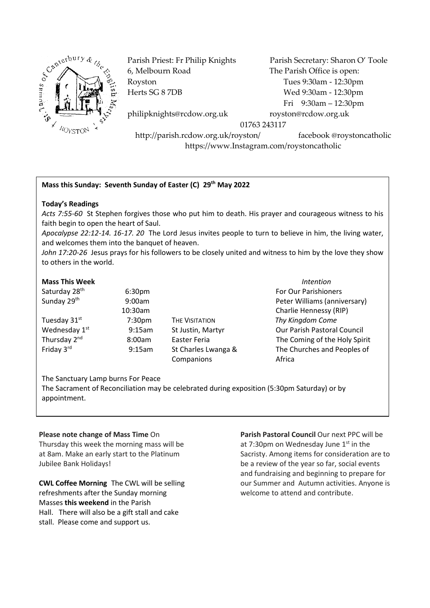

6, Melbourn Road The Parish Office is open: Royston Tues 9:30am - 12:30pm Herts SG 8 7DB Wed 9:30am - 12:30pm

Parish Priest: Fr Philip Knights Parish Secretary: Sharon O' Toole Fri 9:30am – 12:30pm

philipknights@rcdow.org.uk royston@rcdow.org.uk

01763 243117

http://parish.rcdow.org.uk/royston/ facebook @roystoncatholic https://www.Instagram.com/roystoncatholic

# **Mass this Sunday: Seventh Sunday of Easter (C) 29th May 2022**

### **Today's Readings**

*Acts 7:55-60* St Stephen forgives those who put him to death. His prayer and courageous witness to his faith begin to open the heart of Saul.

*Apocalypse 22:12-14. 16-17. 20* The Lord Jesus invites people to turn to believe in him, the living water, and welcomes them into the banquet of heaven.

*John 17:20-26* Jesus prays for his followers to be closely united and witness to him by the love they show to others in the world.

#### **Mass This Week** *Intention*

Saturday 28<sup>th</sup> Sunday 29<sup>th</sup> Tuesday 31st Wednesday 1<sup>st</sup> Thursday 2<sup>nd</sup> Friday 3rd

 6:30pm For Our Parishioners 9:00am Peter Williams (anniversary) 10:30am Charlie Hennessy (RIP) 7:30pm THE VISITATION *Thy Kingdom Come* 9:15am St Justin, Martyr **Call Council** Our Parish Pastoral Council 8:00am Easter Feria The Coming of the Holy Spirit 9:15am St Charles Lwanga & The Churches and Peoples of Companions **Africa** 

The Sanctuary Lamp burns For Peace The Sacrament of Reconciliation may be celebrated during exposition (5:30pm Saturday) or by appointment.

### **Please note change of Mass Time** On

Thursday this week the morning mass will be at 8am. Make an early start to the Platinum Jubilee Bank Holidays!

**CWL Coffee Morning** The CWL will be selling refreshments after the Sunday morning Masses **this weekend** in the Parish Hall. There will also be a gift stall and cake stall. Please come and support us.

**Parish Pastoral Council** Our next PPC will be at 7:30pm on Wednesday June 1<sup>st</sup> in the Sacristy. Among items for consideration are to be a review of the year so far, social events and fundraising and beginning to prepare for our Summer and Autumn activities. Anyone is welcome to attend and contribute.